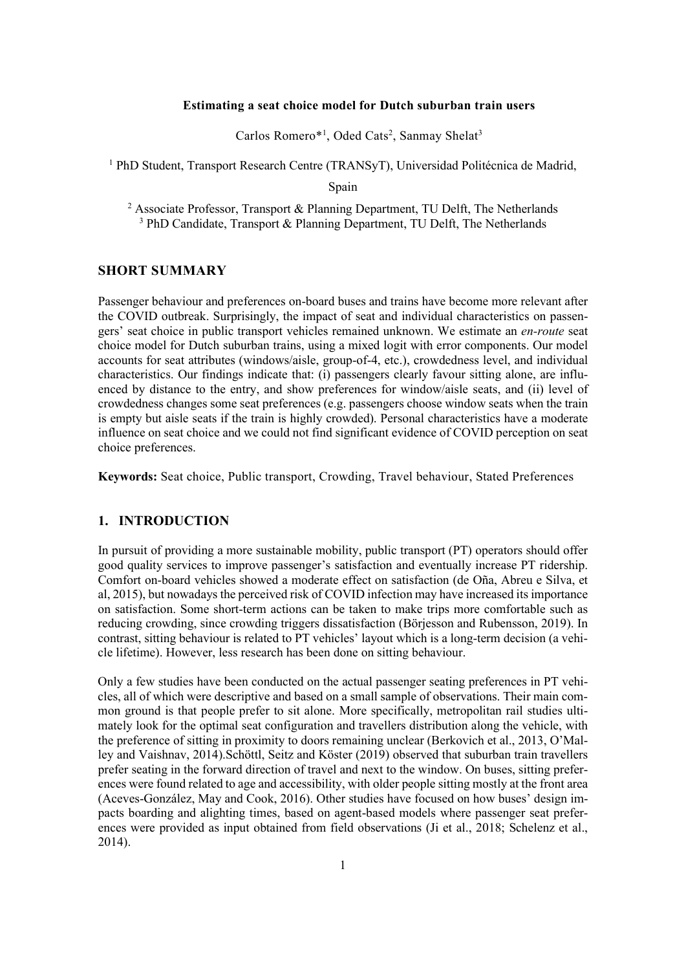#### **Estimating a seat choice model for Dutch suburban train users**

Carlos Romero\*<sup>1</sup>, Oded Cats<sup>2</sup>, Sanmay Shelat<sup>3</sup>

<sup>1</sup> PhD Student, Transport Research Centre (TRANSyT), Universidad Politécnica de Madrid,

Spain

<sup>2</sup> Associate Professor, Transport & Planning Department, TU Delft, The Netherlands <sup>3</sup> PhD Candidate, Transport & Planning Department, TU Delft, The Netherlands

### **SHORT SUMMARY**

Passenger behaviour and preferences on-board buses and trains have become more relevant after the COVID outbreak. Surprisingly, the impact of seat and individual characteristics on passengers' seat choice in public transport vehicles remained unknown. We estimate an *en-route* seat choice model for Dutch suburban trains, using a mixed logit with error components. Our model accounts for seat attributes (windows/aisle, group-of-4, etc.), crowdedness level, and individual characteristics. Our findings indicate that: (i) passengers clearly favour sitting alone, are influenced by distance to the entry, and show preferences for window/aisle seats, and (ii) level of crowdedness changes some seat preferences (e.g. passengers choose window seats when the train is empty but aisle seats if the train is highly crowded). Personal characteristics have a moderate influence on seat choice and we could not find significant evidence of COVID perception on seat choice preferences.

**Keywords:** Seat choice, Public transport, Crowding, Travel behaviour, Stated Preferences

## **1. INTRODUCTION**

In pursuit of providing a more sustainable mobility, public transport (PT) operators should offer good quality services to improve passenger's satisfaction and eventually increase PT ridership. Comfort on-board vehicles showed a moderate effect on satisfaction (de Oña, Abreu e Silva, et al, 2015), but nowadays the perceived risk of COVID infection may have increased its importance on satisfaction. Some short-term actions can be taken to make trips more comfortable such as reducing crowding, since crowding triggers dissatisfaction (Börjesson and Rubensson, 2019). In contrast, sitting behaviour is related to PT vehicles' layout which is a long-term decision (a vehicle lifetime). However, less research has been done on sitting behaviour.

Only a few studies have been conducted on the actual passenger seating preferences in PT vehicles, all of which were descriptive and based on a small sample of observations. Their main common ground is that people prefer to sit alone. More specifically, metropolitan rail studies ultimately look for the optimal seat configuration and travellers distribution along the vehicle, with the preference of sitting in proximity to doors remaining unclear (Berkovich et al., 2013, O'Malley and Vaishnav, 2014).Schöttl, Seitz and Köster (2019) observed that suburban train travellers prefer seating in the forward direction of travel and next to the window. On buses, sitting preferences were found related to age and accessibility, with older people sitting mostly at the front area (Aceves-González, May and Cook, 2016). Other studies have focused on how buses' design impacts boarding and alighting times, based on agent-based models where passenger seat preferences were provided as input obtained from field observations (Ji et al., 2018; Schelenz et al., 2014).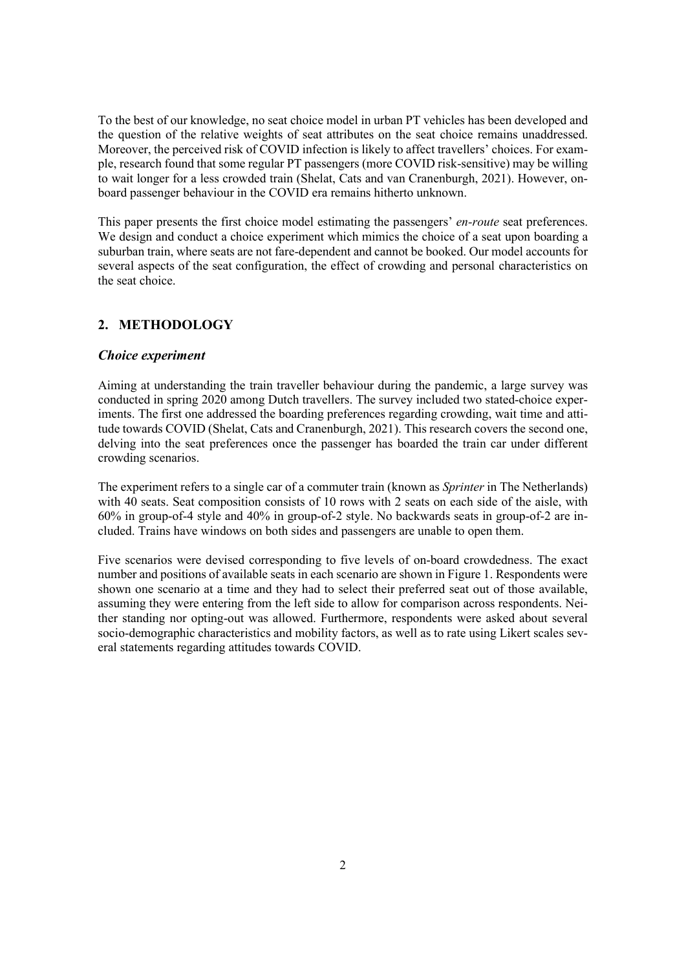To the best of our knowledge, no seat choice model in urban PT vehicles has been developed and the question of the relative weights of seat attributes on the seat choice remains unaddressed. Moreover, the perceived risk of COVID infection is likely to affect travellers' choices. For example, research found that some regular PT passengers (more COVID risk-sensitive) may be willing to wait longer for a less crowded train (Shelat, Cats and van Cranenburgh, 2021). However, onboard passenger behaviour in the COVID era remains hitherto unknown.

This paper presents the first choice model estimating the passengers' *en-route* seat preferences. We design and conduct a choice experiment which mimics the choice of a seat upon boarding a suburban train, where seats are not fare-dependent and cannot be booked. Our model accounts for several aspects of the seat configuration, the effect of crowding and personal characteristics on the seat choice.

## **2. METHODOLOGY**

### *Choice experiment*

Aiming at understanding the train traveller behaviour during the pandemic, a large survey was conducted in spring 2020 among Dutch travellers. The survey included two stated-choice experiments. The first one addressed the boarding preferences regarding crowding, wait time and attitude towards COVID (Shelat, Cats and Cranenburgh, 2021). This research covers the second one, delving into the seat preferences once the passenger has boarded the train car under different crowding scenarios.

The experiment refers to a single car of a commuter train (known as *Sprinter* in The Netherlands) with 40 seats. Seat composition consists of 10 rows with 2 seats on each side of the aisle, with 60% in group-of-4 style and 40% in group-of-2 style. No backwards seats in group-of-2 are included. Trains have windows on both sides and passengers are unable to open them.

Five scenarios were devised corresponding to five levels of on-board crowdedness. The exact number and positions of available seats in each scenario are shown in Figure 1. Respondents were shown one scenario at a time and they had to select their preferred seat out of those available, assuming they were entering from the left side to allow for comparison across respondents. Neither standing nor opting-out was allowed. Furthermore, respondents were asked about several socio-demographic characteristics and mobility factors, as well as to rate using Likert scales several statements regarding attitudes towards COVID.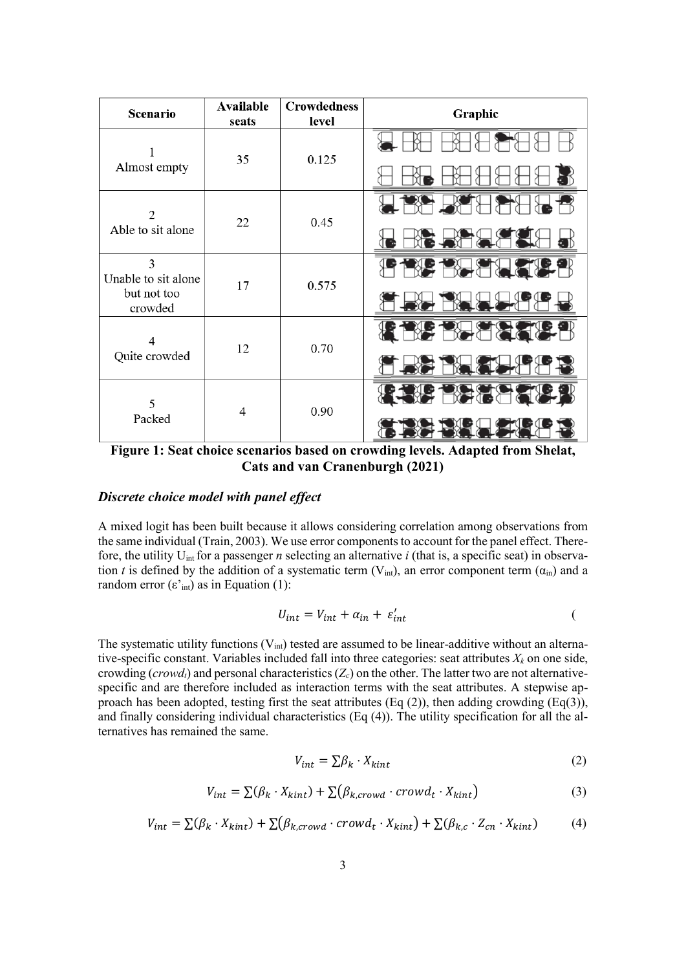| Scenario                            | Available | <b>Crowdedness</b> | Graphic       |  |
|-------------------------------------|-----------|--------------------|---------------|--|
|                                     | seats     | level              |               |  |
| Almost empty                        | 35        | 0.125              |               |  |
|                                     |           |                    |               |  |
| $\mathfrak{D}$<br>Able to sit alone | 22        | 0.45               |               |  |
|                                     |           |                    |               |  |
| 3<br>Unable to sit alone            |           |                    | ▓₹⊁           |  |
| but not too<br>crowded              | 17        | 0.575              |               |  |
| 4<br>Quite crowded                  | 12        | 0.70               | <b>FIGHT:</b> |  |
|                                     |           |                    |               |  |
| 5<br>Packed                         | 4         | 0.90               | 行行者           |  |
|                                     |           |                    |               |  |

**Figure 1: Seat choice scenarios based on crowding levels. Adapted from Shelat, Cats and van Cranenburgh (2021)**

## *Discrete choice model with panel effect*

A mixed logit has been built because it allows considering correlation among observations from the same individual (Train, 2003). We use error components to account for the panel effect. Therefore, the utility Uint for a passenger *n* selecting an alternative *i* (that is, a specific seat) in observation *t* is defined by the addition of a systematic term (V<sub>int</sub>), an error component term ( $\alpha_{\rm in}$ ) and a random error  $(\varepsilon^{\prime})$  as in Equation (1):

$$
U_{int} = V_{int} + \alpha_{in} + \varepsilon'_{int}
$$

The systematic utility functions  $(V_{int})$  tested are assumed to be linear-additive without an alternative-specific constant. Variables included fall into three categories: seat attributes  $X_k$  on one side, crowding ( $crowd_t$ ) and personal characteristics ( $Z_c$ ) on the other. The latter two are not alternativespecific and are therefore included as interaction terms with the seat attributes. A stepwise approach has been adopted, testing first the seat attributes (Eq  $(2)$ ), then adding crowding (Eq $(3)$ ), and finally considering individual characteristics (Eq (4)). The utility specification for all the alternatives has remained the same.

$$
V_{int} = \sum \beta_k \cdot X_{kint} \tag{2}
$$

$$
V_{int} = \sum(\beta_k \cdot X_{kint}) + \sum(\beta_{k,crowd} \cdot crowd_t \cdot X_{kint})
$$
 (3)

$$
V_{int} = \sum (\beta_k \cdot X_{kint}) + \sum (\beta_{k,crowd} \cdot crowd_t \cdot X_{kint}) + \sum (\beta_{k,c} \cdot Z_{cn} \cdot X_{kint}) \tag{4}
$$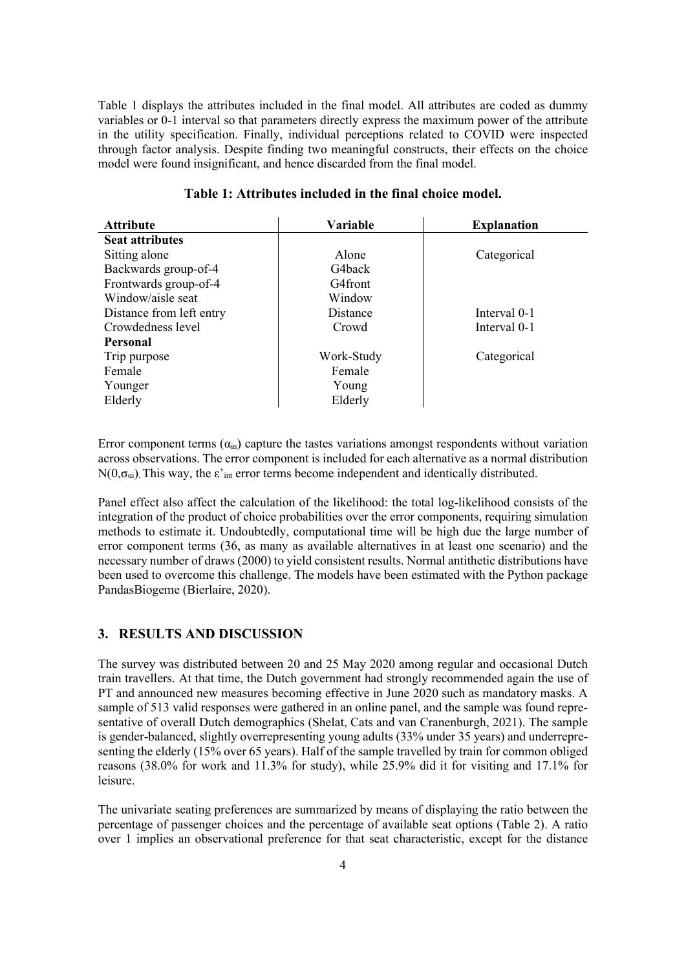Table 1 displays the attributes included in the final model. All attributes are coded as dummy variables or 0-1 interval so that parameters directly express the maximum power of the attribute in the utility specification. Finally, individual perceptions related to COVID were inspected through factor analysis. Despite finding two meaningful constructs, their effects on the choice model were found insignificant, and hence discarded from the final model.

| <b>Attribute</b>         | Variable   | <b>Explanation</b> |
|--------------------------|------------|--------------------|
| <b>Seat attributes</b>   |            |                    |
| Sitting alone            | Alone      | Categorical        |
| Backwards group-of-4     | G4back     |                    |
| Frontwards group-of-4    | G4front    |                    |
| Window/aisle seat        | Window     |                    |
| Distance from left entry | Distance   | Interval 0-1       |
| Crowdedness level        | Crowd      | Interval 0-1       |
| Personal                 |            |                    |
| Trip purpose             | Work-Study | Categorical        |
| Female                   | Female     |                    |
| Younger                  | Young      |                    |
| Elderly                  | Elderly    |                    |

## **Table 1: Attributes included in the final choice model.**

Error component terms  $(\alpha_{in})$  capture the tastes variations amongst respondents without variation across observations. The error component is included for each alternative as a normal distribution  $N(0,\sigma_{\alpha i})$ . This way, the  $\varepsilon'_{\text{int}}$  error terms become independent and identically distributed.

Panel effect also affect the calculation of the likelihood: the total log-likelihood consists of the integration of the product of choice probabilities over the error components, requiring simulation methods to estimate it. Undoubtedly, computational time will be high due the large number of error component terms (36, as many as available alternatives in at least one scenario) and the necessary number of draws (2000) to yield consistent results. Normal antithetic distributions have been used to overcome this challenge. The models have been estimated with the Python package PandasBiogeme (Bierlaire, 2020).

### **3. RESULTS AND DISCUSSION**

The survey was distributed between 20 and 25 May 2020 among regular and occasional Dutch train travellers. At that time, the Dutch government had strongly recommended again the use of PT and announced new measures becoming effective in June 2020 such as mandatory masks. A sample of 513 valid responses were gathered in an online panel, and the sample was found representative of overall Dutch demographics (Shelat, Cats and van Cranenburgh, 2021). The sample is gender-balanced, slightly overrepresenting young adults (33% under 35 years) and underrepresenting the elderly (15% over 65 years). Half of the sample travelled by train for common obliged reasons (38.0% for work and 11.3% for study), while 25.9% did it for visiting and 17.1% for leisure.

The univariate seating preferences are summarized by means of displaying the ratio between the percentage of passenger choices and the percentage of available seat options (Table 2). A ratio over 1 implies an observational preference for that seat characteristic, except for the distance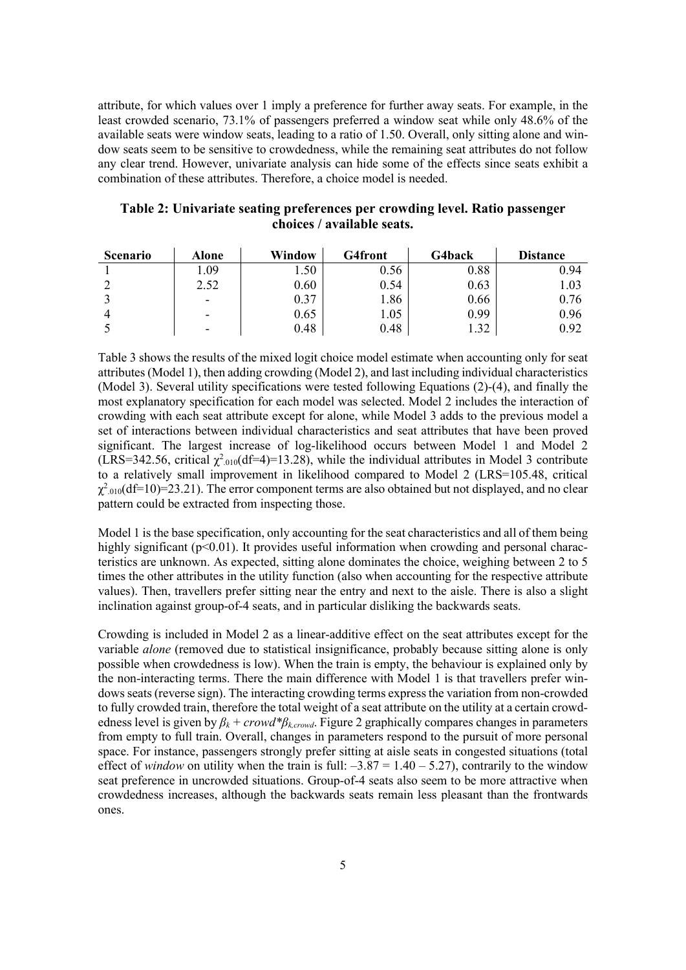attribute, for which values over 1 imply a preference for further away seats. For example, in the least crowded scenario, 73.1% of passengers preferred a window seat while only 48.6% of the available seats were window seats, leading to a ratio of 1.50. Overall, only sitting alone and window seats seem to be sensitive to crowdedness, while the remaining seat attributes do not follow any clear trend. However, univariate analysis can hide some of the effects since seats exhibit a combination of these attributes. Therefore, a choice model is needed.

| <b>Scenario</b> | Alone | <b>Window</b> | G4front | G4back | <b>Distance</b> |
|-----------------|-------|---------------|---------|--------|-----------------|
|                 | .09   | .50           | 0.56    | 0.88   | 0.94            |
|                 | 2.52  | 0.60          | 0.54    | 0.63   | 1.03            |
|                 | ۰     | 0.37          | .86     | 0.66   | 0.76            |
|                 | -     | 0.65          | 1.05    | 0.99   | 0.96            |
|                 | -     | 0.48          | 0.48    | 1.32   | 0.92            |

**Table 2: Univariate seating preferences per crowding level. Ratio passenger choices / available seats.**

Table 3 shows the results of the mixed logit choice model estimate when accounting only for seat attributes (Model 1), then adding crowding (Model 2), and last including individual characteristics (Model 3). Several utility specifications were tested following Equations (2)-(4), and finally the most explanatory specification for each model was selected. Model 2 includes the interaction of crowding with each seat attribute except for alone, while Model 3 adds to the previous model a set of interactions between individual characteristics and seat attributes that have been proved significant. The largest increase of log-likelihood occurs between Model 1 and Model 2 (LRS=342.56, critical  $\chi^2_{.010}$ (df=4)=13.28), while the individual attributes in Model 3 contribute to a relatively small improvement in likelihood compared to Model 2 (LRS=105.48, critical  $\chi^2_{.010}$ (df=10)=23.21). The error component terms are also obtained but not displayed, and no clear pattern could be extracted from inspecting those.

Model 1 is the base specification, only accounting for the seat characteristics and all of them being highly significant ( $p<0.01$ ). It provides useful information when crowding and personal characteristics are unknown. As expected, sitting alone dominates the choice, weighing between 2 to 5 times the other attributes in the utility function (also when accounting for the respective attribute values). Then, travellers prefer sitting near the entry and next to the aisle. There is also a slight inclination against group-of-4 seats, and in particular disliking the backwards seats.

Crowding is included in Model 2 as a linear-additive effect on the seat attributes except for the variable *alone* (removed due to statistical insignificance, probably because sitting alone is only possible when crowdedness is low). When the train is empty, the behaviour is explained only by the non-interacting terms. There the main difference with Model 1 is that travellers prefer windows seats (reverse sign). The interacting crowding terms express the variation from non-crowded to fully crowded train, therefore the total weight of a seat attribute on the utility at a certain crowdedness level is given by  $\beta_k$  + crowd\* $\beta_{k,crowd}$ . Figure 2 graphically compares changes in parameters from empty to full train. Overall, changes in parameters respond to the pursuit of more personal space. For instance, passengers strongly prefer sitting at aisle seats in congested situations (total effect of *window* on utility when the train is full:  $-3.87 = 1.40 - 5.27$ , contrarily to the window seat preference in uncrowded situations. Group-of-4 seats also seem to be more attractive when crowdedness increases, although the backwards seats remain less pleasant than the frontwards ones.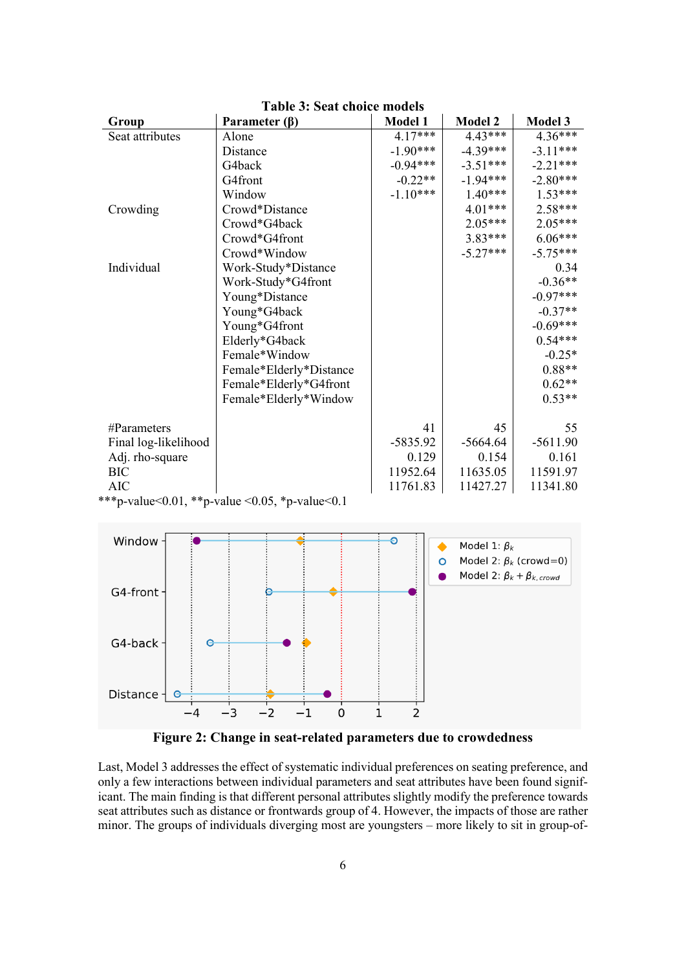| Group                | Parameter $(\beta)$                            | <b>Model 1</b> | <b>Model 2</b> | <b>Model 3</b> |
|----------------------|------------------------------------------------|----------------|----------------|----------------|
| Seat attributes      | Alone                                          | $4.17***$      | $4.43***$      | $4.36***$      |
|                      | Distance                                       | $-1.90***$     | $-4.39***$     | $-3.11***$     |
|                      | G4back                                         | $-0.94***$     | $-3.51***$     | $-2.21***$     |
|                      | G4front                                        | $-0.22**$      | $-1.94***$     | $-2.80***$     |
|                      | Window                                         | $-1.10***$     | $1.40***$      | $1.53***$      |
| Crowding             | Crowd*Distance                                 |                | $4.01***$      | $2.58***$      |
|                      | Crowd*G4back                                   |                | $2.05***$      | $2.05***$      |
|                      | Crowd*G4front                                  |                | $3.83***$      | $6.06***$      |
|                      | Crowd*Window                                   |                | $-5.27***$     | $-5.75***$     |
| Individual           | Work-Study*Distance                            |                |                | 0.34           |
|                      | Work-Study*G4front                             |                |                | $-0.36**$      |
|                      | Young*Distance                                 |                |                | $-0.97***$     |
|                      | Young*G4back                                   |                |                | $-0.37**$      |
|                      | Young*G4front                                  |                |                | $-0.69***$     |
|                      | Elderly*G4back                                 |                |                | $0.54***$      |
|                      | Female*Window                                  |                |                | $-0.25*$       |
|                      | Female*Elderly*Distance                        |                |                | $0.88**$       |
|                      | Female*Elderly*G4front                         |                |                | $0.62**$       |
|                      | Female*Elderly*Window                          |                |                | $0.53**$       |
| $\#Parameters$       |                                                | 41             | 45             | 55             |
| Final log-likelihood |                                                | $-5835.92$     | $-5664.64$     | $-5611.90$     |
| Adj. rho-square      |                                                | 0.129          | 0.154          | 0.161          |
| <b>BIC</b>           |                                                | 11952.64       | 11635.05       | 11591.97       |
| <b>AIC</b>           |                                                | 11761.83       | 11427.27       | 11341.80       |
|                      | ***p-value<0.01, **p-value <0.05, *p-value<0.1 |                |                |                |

**Table 3: Seat choice models**



**Figure 2: Change in seat-related parameters due to crowdedness**

Last, Model 3 addresses the effect of systematic individual preferences on seating preference, and only a few interactions between individual parameters and seat attributes have been found significant. The main finding is that different personal attributes slightly modify the preference towards seat attributes such as distance or frontwards group of 4. However, the impacts of those are rather minor. The groups of individuals diverging most are youngsters – more likely to sit in group-of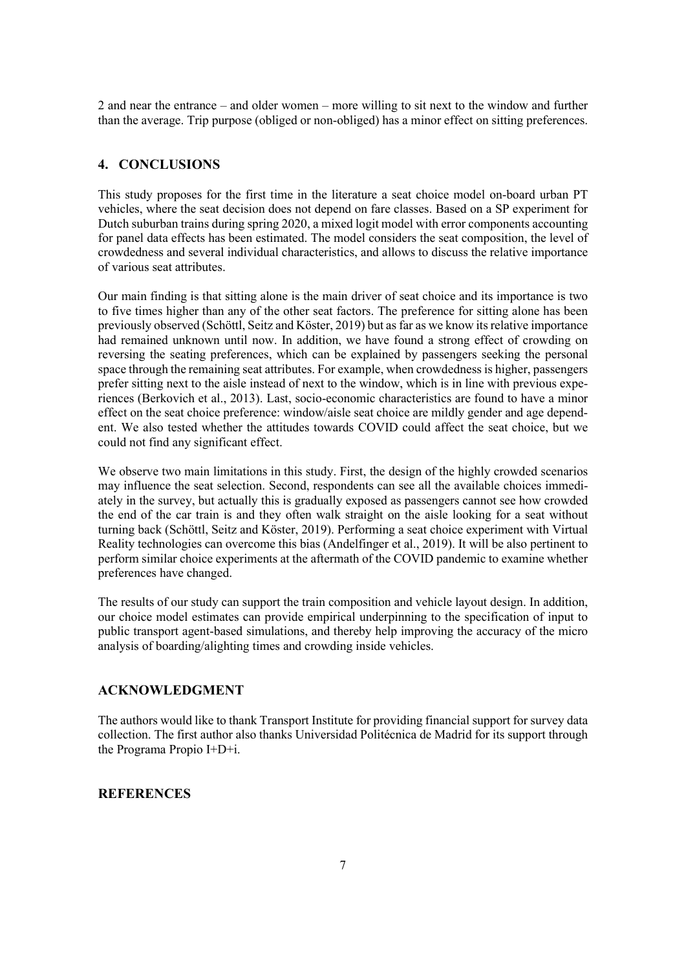2 and near the entrance – and older women – more willing to sit next to the window and further than the average. Trip purpose (obliged or non-obliged) has a minor effect on sitting preferences.

## **4. CONCLUSIONS**

This study proposes for the first time in the literature a seat choice model on-board urban PT vehicles, where the seat decision does not depend on fare classes. Based on a SP experiment for Dutch suburban trains during spring 2020, a mixed logit model with error components accounting for panel data effects has been estimated. The model considers the seat composition, the level of crowdedness and several individual characteristics, and allows to discuss the relative importance of various seat attributes.

Our main finding is that sitting alone is the main driver of seat choice and its importance is two to five times higher than any of the other seat factors. The preference for sitting alone has been previously observed (Schöttl, Seitz and Köster, 2019) but as far as we know its relative importance had remained unknown until now. In addition, we have found a strong effect of crowding on reversing the seating preferences, which can be explained by passengers seeking the personal space through the remaining seat attributes. For example, when crowdedness is higher, passengers prefer sitting next to the aisle instead of next to the window, which is in line with previous experiences (Berkovich et al., 2013). Last, socio-economic characteristics are found to have a minor effect on the seat choice preference: window/aisle seat choice are mildly gender and age dependent. We also tested whether the attitudes towards COVID could affect the seat choice, but we could not find any significant effect.

We observe two main limitations in this study. First, the design of the highly crowded scenarios may influence the seat selection. Second, respondents can see all the available choices immediately in the survey, but actually this is gradually exposed as passengers cannot see how crowded the end of the car train is and they often walk straight on the aisle looking for a seat without turning back (Schöttl, Seitz and Köster, 2019). Performing a seat choice experiment with Virtual Reality technologies can overcome this bias (Andelfinger et al., 2019). It will be also pertinent to perform similar choice experiments at the aftermath of the COVID pandemic to examine whether preferences have changed.

The results of our study can support the train composition and vehicle layout design. In addition, our choice model estimates can provide empirical underpinning to the specification of input to public transport agent-based simulations, and thereby help improving the accuracy of the micro analysis of boarding/alighting times and crowding inside vehicles.

# **ACKNOWLEDGMENT**

The authors would like to thank Transport Institute for providing financial support for survey data collection. The first author also thanks Universidad Politécnica de Madrid for its support through the Programa Propio I+D+i.

# **REFERENCES**